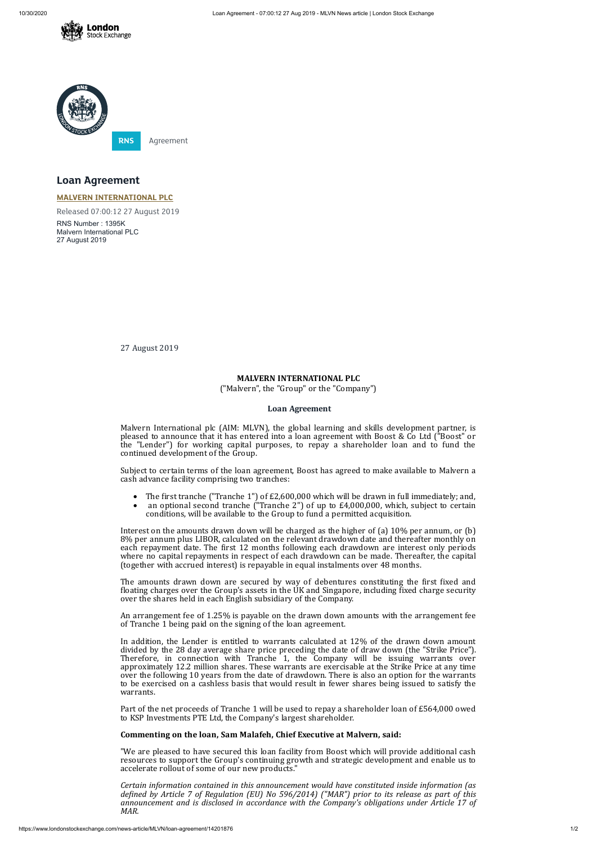



# **Loan Agreement**

### **MALVERN [INTERNATIONAL](https://www.londonstockexchange.com/stock/MLVN/malvern-international-plc) PLC**

Released 07:00:12 27 August 2019

RNS Number : 1395K Malvern International PLC 27 August 2019

27 August 2019

### **MALVERN INTERNATIONAL PLC**

("Malvern", the "Group" or the "Company")

### **Loan Agreement**

- The first tranche ("Tranche 1") of £2,600,000 which will be drawn in full immediately; and,
- an optional second tranche ("Tranche 2") of up to £4,000,000, which, subject to certain conditions, will be available to the Group to fund a permitted acquisition.

Malvern International plc (AIM: MLVN), the global learning and skills development partner, is pleased to announce that it has entered into a loan agreement with Boost & Co Ltd ("Boost" or the "Lender") for working capital purposes, to repay a shareholder loan and to fund the continued development of the Group.

Subject to certain terms of the loan agreement, Boost has agreed to make available to Malvern a cash advance facility comprising two tranches:

The amounts drawn down are secured by way of debentures constituting the first fixed and floating charges over the Group's assets in the UK and Singapore, including fixed charge security over the shares held in each English subsidiary of the Company.

Interest on the amounts drawn down will be charged as the higher of (a) 10% per annum, or (b) 8% per annum plus LIBOR, calculated on the relevant drawdown date and thereafter monthly on each repayment date. The first 12 months following each drawdown are interest only periods where no capital repayments in respect of each drawdown can be made. Thereafter, the capital (together with accrued interest) is repayable in equal instalments over 48 months.

*Certain information contained in this announcement would have constituted inside information (as deined by Article 7 of Regulation (EU) No 596/2014) ("MAR") prior to its release as part of this announcement and is disclosed in accordance with the Company's obligations under Article 17 of MAR.*

An arrangement fee of 1.25% is payable on the drawn down amounts with the arrangement fee of Tranche 1 being paid on the signing of the loan agreement.

In addition, the Lender is entitled to warrants calculated at 12% of the drawn down amount divided by the 28 day average share price preceding the date of draw down (the "Strike Price"). Therefore, in connection with Tranche 1, the Company will be issuing warrants over approximately 12.2 million shares. These warrants are exercisable at the Strike Price at any time over the following 10 years from the date of drawdown. There is also an option for the warrants to be exercised on a cashless basis that would result in fewer shares being issued to satisfy the warrants.

Part of the net proceeds of Tranche 1 will be used to repay a shareholder loan of £564,000 owed to KSP Investments PTE Ltd, the Company's largest shareholder.

## **Commenting on the loan, Sam Malafeh, Chief Executive at Malvern, said:**

"We are pleased to have secured this loan facility from Boost which will provide additional cash resources to support the Group's continuing growth and strategic development and enable us to accelerate rollout of some of our new products."